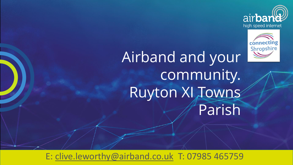



Airband and your community. Ruyton XI Towns Parish

E: [clive.leworthy@airband.co.uk](mailto:clive.leworthy@airband.co.uk) T: 07985 465759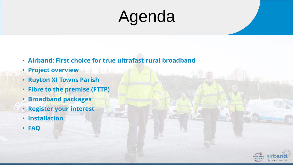# Agenda

- **Airband: First choice for true ultrafast rural broadband**
- **Project overview**
- **Ruyton XI Towns Parish**
- **Fibre to the premise (FTTP)**
- **Broadband packages**
- **Register your interest**
- **Installation**
- **FAQ**

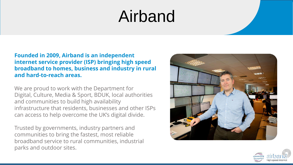## Airband

**Founded in 2009, Airband is an independent internet service provider (ISP) bringing high speed broadband to homes, business and industry in rural and hard-to-reach areas.**

We are proud to work with the Department for Digital, Culture, Media & Sport, BDUK, local authorities and communities to build high availability infrastructure that residents, businesses and other ISPs can access to help overcome the UK's digital divide.

Trusted by governments, industry partners and communities to bring the fastest, most reliable broadband service to rural communities, industrial parks and outdoor sites.



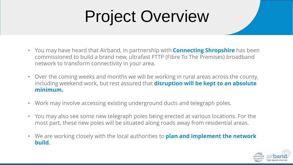# Project Overview

- You may have heard that Airband, in partnership with **Connecting Shropshire** has been commissioned to build a brand new, ultrafast FTTP (Fibre To The Premises) broadband network to transform connectivity in your area.
- Over the coming weeks and months we will be working in rural areas across the county, including weekend work, but rest assured that **disruption will be kept to an absolute minimum.**
- Work may involve accessing existing underground ducts and telegraph poles.
- You may also see some new telegraph poles being erected at various locations. For the most part, these new poles will be situated along roads away from residential areas.
- We are working closely with the local authorities to **plan and implement the network build.**

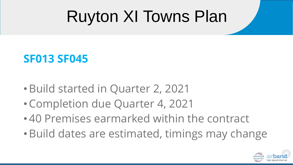# Ruyton XI Towns Plan

### **SF013 SF045**

- •Build started in Quarter 2, 2021
- •Completion due Quarter 4, 2021
- 40 Premises earmarked within the contract
- •Build dates are estimated, timings may change

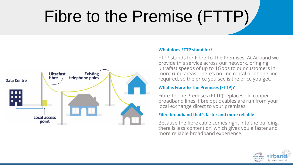# Fibre to the Premise (FTTP)



### **What does FTTP stand for?**

FTTP stands for Fibre To The Premises. At Airband we provide this service across our network, bringing ultrafast speeds of up to 1Gbps to our customers in more rural areas. There's no line rental or phone line required, so the price you see is the price you get.

### **What is Fibre To The Premises (FTTP)?**

Fibre To The Premises (FTTP) replaces old copper broadband lines; fibre optic cables are run from your local exchange direct to your premises.

### **Fibre broadband that's faster and more reliable**

Because the fibre cable comes right into the building, there is less 'contention' which gives you a faster and more reliable broadband experience.

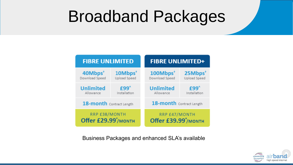## Broadband Packages

| <b>FIBRE UNLIMITED</b>                            |                                     | <b>FIBRE UNLIMITED+</b>                           |                                     |  |
|---------------------------------------------------|-------------------------------------|---------------------------------------------------|-------------------------------------|--|
| 40Mbps <sup>+</sup><br>Download Speed             | 10Mbps <sup>+</sup><br>Upload Speed | 100Mbps <sup>+</sup><br>Download Speed            | 25Mbps <sup>+</sup><br>Upload Speed |  |
| <b>Unlimited</b><br>Allowance                     | $f99^$<br>Installation              | <b>Unlimited</b><br>Allowance                     | £99^<br>Installation                |  |
| 18-month Contract Length                          |                                     | 18-month Contract Length                          |                                     |  |
| RRP £38/MONTH<br>Offer £29.99 <sup>*</sup> /MONTH |                                     | RRP £47/MONTH<br>Offer £39.99 <sup>*</sup> /MONTH |                                     |  |

Business Packages and enhanced SLA's available

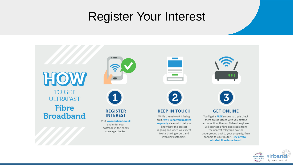### Register Your Interest



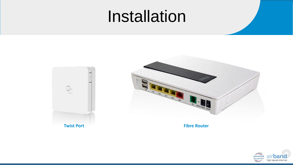### Installation